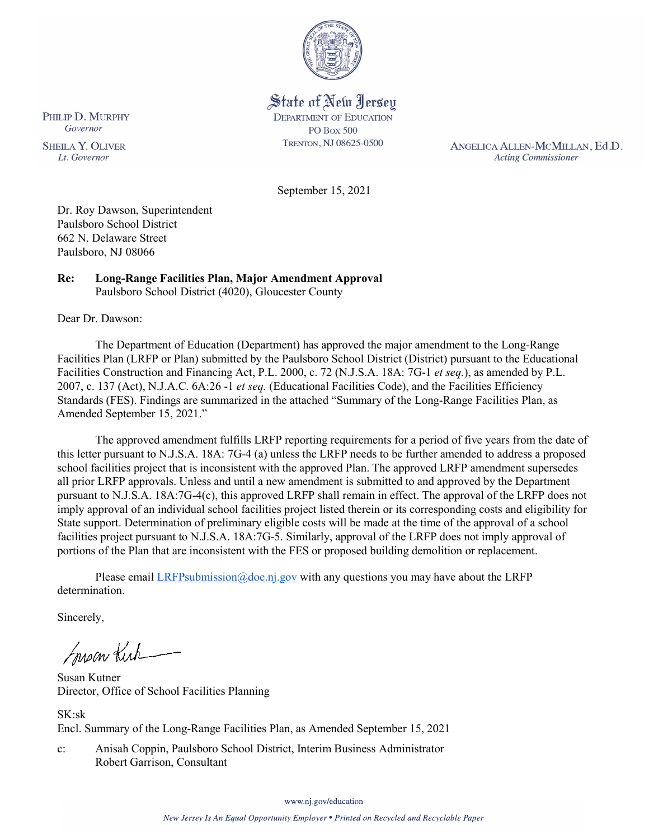

State of New Jersey **DEPARTMENT OF EDUCATION PO Box 500** TRENTON, NJ 08625-0500

ANGELICA ALLEN-MCMILLAN, Ed.D. **Acting Commissioner** 

September 15, 2021

Dr. Roy Dawson, Superintendent Paulsboro School District 662 N. Delaware Street Paulsboro, NJ 08066

#### **Re: Long-Range Facilities Plan, Major Amendment Approval**  Paulsboro School District (4020), Gloucester County

Dear Dr. Dawson:

The Department of Education (Department) has approved the major amendment to the Long-Range Facilities Plan (LRFP or Plan) submitted by the Paulsboro School District (District) pursuant to the Educational Facilities Construction and Financing Act, P.L. 2000, c. 72 (N.J.S.A. 18A: 7G-1 *et seq.*), as amended by P.L. 2007, c. 137 (Act), N.J.A.C. 6A:26 -1 *et seq.* (Educational Facilities Code), and the Facilities Efficiency Standards (FES). Findings are summarized in the attached "Summary of the Long-Range Facilities Plan, as Amended September 15, 2021."

The approved amendment fulfills LRFP reporting requirements for a period of five years from the date of this letter pursuant to N.J.S.A. 18A: 7G-4 (a) unless the LRFP needs to be further amended to address a proposed school facilities project that is inconsistent with the approved Plan. The approved LRFP amendment supersedes all prior LRFP approvals. Unless and until a new amendment is submitted to and approved by the Department pursuant to N.J.S.A. 18A:7G-4(c), this approved LRFP shall remain in effect. The approval of the LRFP does not imply approval of an individual school facilities project listed therein or its corresponding costs and eligibility for State support. Determination of preliminary eligible costs will be made at the time of the approval of a school facilities project pursuant to N.J.S.A. 18A:7G-5. Similarly, approval of the LRFP does not imply approval of portions of the Plan that are inconsistent with the FES or proposed building demolition or replacement.

Please email  $LRFP submission@doe.nj.gov$  with any questions you may have about the LRFP determination.

Sincerely,

Susan Kich

Susan Kutner Director, Office of School Facilities Planning

SK:sk Encl. Summary of the Long-Range Facilities Plan, as Amended September 15, 2021

c: Anisah Coppin, Paulsboro School District, Interim Business Administrator Robert Garrison, Consultant

www.nj.gov/education

PHILIP D. MURPHY Governor

**SHEILA Y. OLIVER** Lt. Governor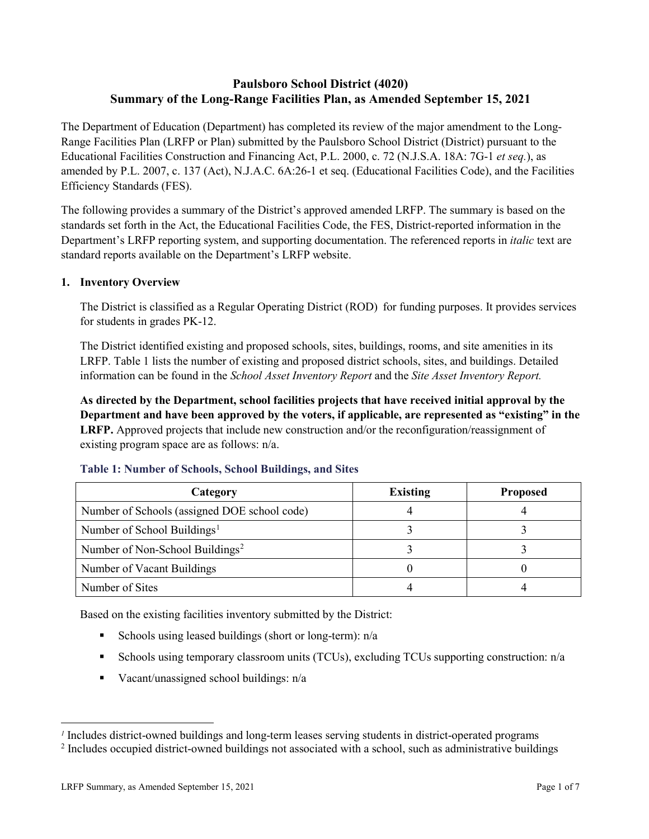# **Paulsboro School District (4020) Summary of the Long-Range Facilities Plan, as Amended September 15, 2021**

The Department of Education (Department) has completed its review of the major amendment to the Long-Range Facilities Plan (LRFP or Plan) submitted by the Paulsboro School District (District) pursuant to the Educational Facilities Construction and Financing Act, P.L. 2000, c. 72 (N.J.S.A. 18A: 7G-1 *et seq.*), as amended by P.L. 2007, c. 137 (Act), N.J.A.C. 6A:26-1 et seq. (Educational Facilities Code), and the Facilities Efficiency Standards (FES).

The following provides a summary of the District's approved amended LRFP. The summary is based on the standards set forth in the Act, the Educational Facilities Code, the FES, District-reported information in the Department's LRFP reporting system, and supporting documentation. The referenced reports in *italic* text are standard reports available on the Department's LRFP website.

## **1. Inventory Overview**

The District is classified as a Regular Operating District (ROD) for funding purposes. It provides services for students in grades PK-12.

The District identified existing and proposed schools, sites, buildings, rooms, and site amenities in its LRFP. Table 1 lists the number of existing and proposed district schools, sites, and buildings. Detailed information can be found in the *School Asset Inventory Report* and the *Site Asset Inventory Report.*

**As directed by the Department, school facilities projects that have received initial approval by the Department and have been approved by the voters, if applicable, are represented as "existing" in the LRFP.** Approved projects that include new construction and/or the reconfiguration/reassignment of existing program space are as follows: n/a.

| Category                                     | <b>Existing</b> | <b>Proposed</b> |
|----------------------------------------------|-----------------|-----------------|
| Number of Schools (assigned DOE school code) |                 |                 |
| Number of School Buildings <sup>1</sup>      |                 |                 |
| Number of Non-School Buildings <sup>2</sup>  |                 |                 |
| Number of Vacant Buildings                   |                 |                 |
| Number of Sites                              |                 |                 |

#### **Table 1: Number of Schools, School Buildings, and Sites**

Based on the existing facilities inventory submitted by the District:

- Schools using leased buildings (short or long-term):  $n/a$
- Schools using temporary classroom units (TCUs), excluding TCUs supporting construction: n/a
- Vacant/unassigned school buildings:  $n/a$

 $\overline{a}$ 

<span id="page-1-1"></span><span id="page-1-0"></span>*<sup>1</sup>* Includes district-owned buildings and long-term leases serving students in district-operated programs

<sup>&</sup>lt;sup>2</sup> Includes occupied district-owned buildings not associated with a school, such as administrative buildings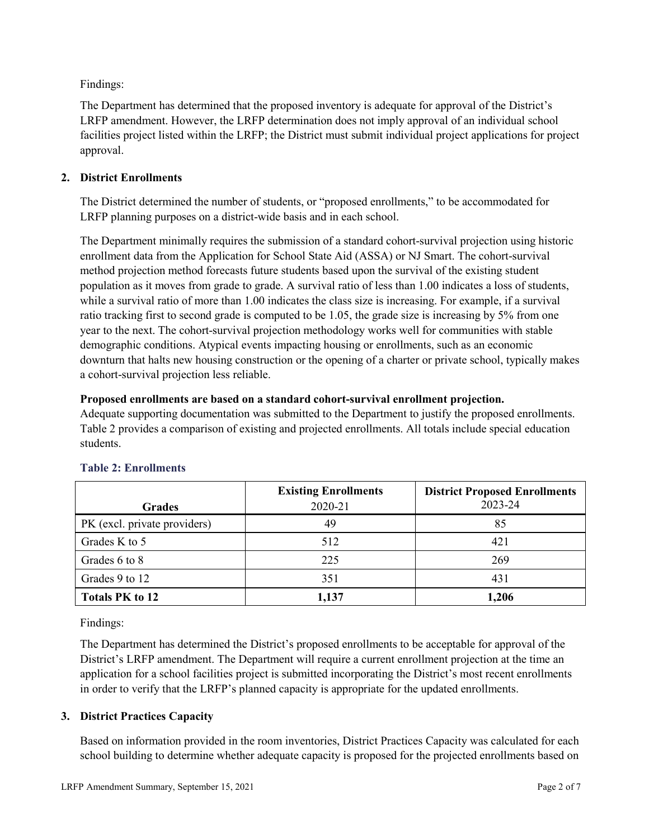Findings:

The Department has determined that the proposed inventory is adequate for approval of the District's LRFP amendment. However, the LRFP determination does not imply approval of an individual school facilities project listed within the LRFP; the District must submit individual project applications for project approval.

## **2. District Enrollments**

The District determined the number of students, or "proposed enrollments," to be accommodated for LRFP planning purposes on a district-wide basis and in each school.

The Department minimally requires the submission of a standard cohort-survival projection using historic enrollment data from the Application for School State Aid (ASSA) or NJ Smart. The cohort-survival method projection method forecasts future students based upon the survival of the existing student population as it moves from grade to grade. A survival ratio of less than 1.00 indicates a loss of students, while a survival ratio of more than 1.00 indicates the class size is increasing. For example, if a survival ratio tracking first to second grade is computed to be 1.05, the grade size is increasing by 5% from one year to the next. The cohort-survival projection methodology works well for communities with stable demographic conditions. Atypical events impacting housing or enrollments, such as an economic downturn that halts new housing construction or the opening of a charter or private school, typically makes a cohort-survival projection less reliable.

## **Proposed enrollments are based on a standard cohort-survival enrollment projection.**

Adequate supporting documentation was submitted to the Department to justify the proposed enrollments. Table 2 provides a comparison of existing and projected enrollments. All totals include special education students.

|                              | <b>Existing Enrollments</b> | <b>District Proposed Enrollments</b> |
|------------------------------|-----------------------------|--------------------------------------|
| <b>Grades</b>                | 2020-21                     | 2023-24                              |
| PK (excl. private providers) | 49                          | 85                                   |
| Grades K to 5                | 512                         | 421                                  |
| Grades 6 to 8                | 225                         | 269                                  |
| Grades 9 to 12               | 351                         | 431                                  |
| <b>Totals PK to 12</b>       | 1,137                       | 1,206                                |

# **Table 2: Enrollments**

Findings:

The Department has determined the District's proposed enrollments to be acceptable for approval of the District's LRFP amendment. The Department will require a current enrollment projection at the time an application for a school facilities project is submitted incorporating the District's most recent enrollments in order to verify that the LRFP's planned capacity is appropriate for the updated enrollments.

# **3. District Practices Capacity**

Based on information provided in the room inventories, District Practices Capacity was calculated for each school building to determine whether adequate capacity is proposed for the projected enrollments based on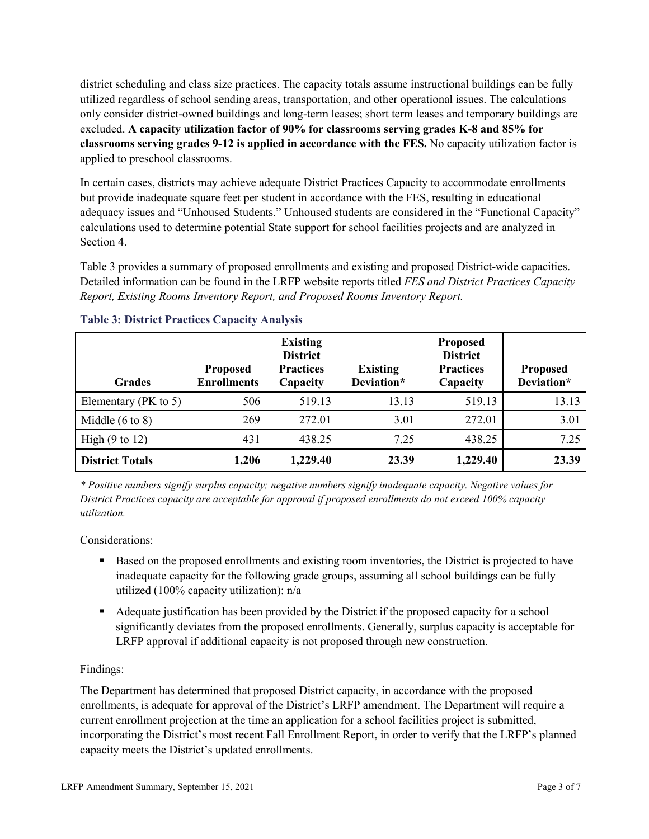district scheduling and class size practices. The capacity totals assume instructional buildings can be fully utilized regardless of school sending areas, transportation, and other operational issues. The calculations only consider district-owned buildings and long-term leases; short term leases and temporary buildings are excluded. **A capacity utilization factor of 90% for classrooms serving grades K-8 and 85% for classrooms serving grades 9-12 is applied in accordance with the FES.** No capacity utilization factor is applied to preschool classrooms.

In certain cases, districts may achieve adequate District Practices Capacity to accommodate enrollments but provide inadequate square feet per student in accordance with the FES, resulting in educational adequacy issues and "Unhoused Students." Unhoused students are considered in the "Functional Capacity" calculations used to determine potential State support for school facilities projects and are analyzed in Section 4.

Table 3 provides a summary of proposed enrollments and existing and proposed District-wide capacities. Detailed information can be found in the LRFP website reports titled *FES and District Practices Capacity Report, Existing Rooms Inventory Report, and Proposed Rooms Inventory Report.*

| <b>Grades</b>              | <b>Proposed</b><br><b>Enrollments</b> | <b>Existing</b><br><b>District</b><br><b>Practices</b><br>Capacity | <b>Existing</b><br>Deviation* | <b>Proposed</b><br><b>District</b><br><b>Practices</b><br>Capacity | <b>Proposed</b><br>Deviation* |
|----------------------------|---------------------------------------|--------------------------------------------------------------------|-------------------------------|--------------------------------------------------------------------|-------------------------------|
| Elementary ( $PK$ to 5)    | 506                                   | 519.13                                                             | 13.13                         | 519.13                                                             | 13.13                         |
| Middle $(6 \text{ to } 8)$ | 269                                   | 272.01                                                             | 3.01                          | 272.01                                                             | 3.01                          |
| High $(9 \text{ to } 12)$  | 431                                   | 438.25                                                             | 7.25                          | 438.25                                                             | 7.25                          |
| <b>District Totals</b>     | 1,206                                 | 1,229.40                                                           | 23.39                         | 1,229.40                                                           | 23.39                         |

## **Table 3: District Practices Capacity Analysis**

*\* Positive numbers signify surplus capacity; negative numbers signify inadequate capacity. Negative values for District Practices capacity are acceptable for approval if proposed enrollments do not exceed 100% capacity utilization.*

Considerations:

- Based on the proposed enrollments and existing room inventories, the District is projected to have inadequate capacity for the following grade groups, assuming all school buildings can be fully utilized (100% capacity utilization): n/a
- Adequate justification has been provided by the District if the proposed capacity for a school significantly deviates from the proposed enrollments. Generally, surplus capacity is acceptable for LRFP approval if additional capacity is not proposed through new construction.

# Findings:

The Department has determined that proposed District capacity, in accordance with the proposed enrollments, is adequate for approval of the District's LRFP amendment. The Department will require a current enrollment projection at the time an application for a school facilities project is submitted, incorporating the District's most recent Fall Enrollment Report, in order to verify that the LRFP's planned capacity meets the District's updated enrollments.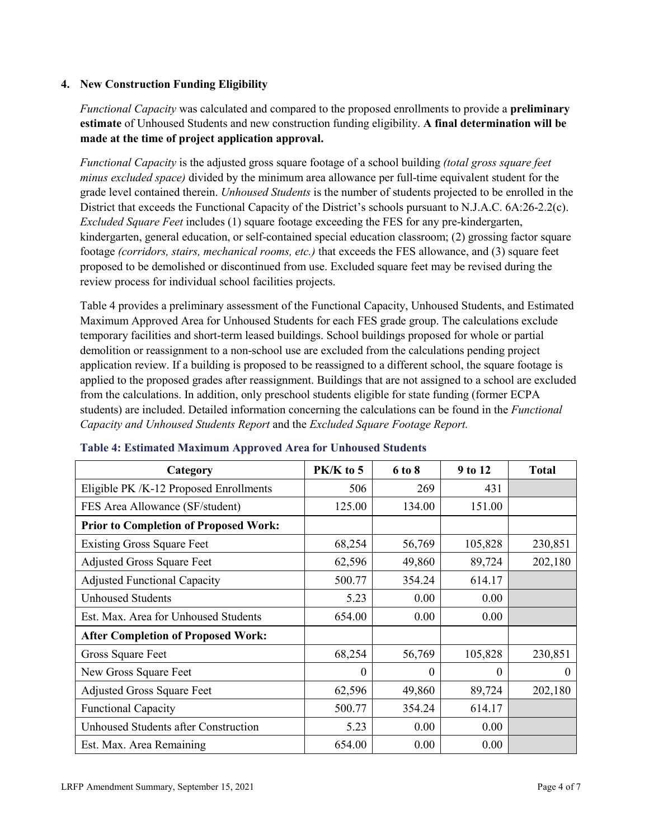### **4. New Construction Funding Eligibility**

*Functional Capacity* was calculated and compared to the proposed enrollments to provide a **preliminary estimate** of Unhoused Students and new construction funding eligibility. **A final determination will be made at the time of project application approval.**

*Functional Capacity* is the adjusted gross square footage of a school building *(total gross square feet minus excluded space)* divided by the minimum area allowance per full-time equivalent student for the grade level contained therein. *Unhoused Students* is the number of students projected to be enrolled in the District that exceeds the Functional Capacity of the District's schools pursuant to N.J.A.C. 6A:26-2.2(c). *Excluded Square Feet* includes (1) square footage exceeding the FES for any pre-kindergarten, kindergarten, general education, or self-contained special education classroom; (2) grossing factor square footage *(corridors, stairs, mechanical rooms, etc.)* that exceeds the FES allowance, and (3) square feet proposed to be demolished or discontinued from use. Excluded square feet may be revised during the review process for individual school facilities projects.

Table 4 provides a preliminary assessment of the Functional Capacity, Unhoused Students, and Estimated Maximum Approved Area for Unhoused Students for each FES grade group. The calculations exclude temporary facilities and short-term leased buildings. School buildings proposed for whole or partial demolition or reassignment to a non-school use are excluded from the calculations pending project application review. If a building is proposed to be reassigned to a different school, the square footage is applied to the proposed grades after reassignment. Buildings that are not assigned to a school are excluded from the calculations. In addition, only preschool students eligible for state funding (former ECPA students) are included. Detailed information concerning the calculations can be found in the *Functional Capacity and Unhoused Students Report* and the *Excluded Square Footage Report.*

| Category                                     | PK/K to 5 | 6 to 8   | 9 to 12 | <b>Total</b> |
|----------------------------------------------|-----------|----------|---------|--------------|
| Eligible PK /K-12 Proposed Enrollments       | 506       | 269      | 431     |              |
| FES Area Allowance (SF/student)              | 125.00    | 134.00   | 151.00  |              |
| <b>Prior to Completion of Proposed Work:</b> |           |          |         |              |
| <b>Existing Gross Square Feet</b>            | 68,254    | 56,769   | 105,828 | 230,851      |
| <b>Adjusted Gross Square Feet</b>            | 62,596    | 49,860   | 89,724  | 202,180      |
| <b>Adjusted Functional Capacity</b>          | 500.77    | 354.24   | 614.17  |              |
| <b>Unhoused Students</b>                     | 5.23      | 0.00     | 0.00    |              |
| Est. Max. Area for Unhoused Students         | 654.00    | 0.00     | 0.00    |              |
| <b>After Completion of Proposed Work:</b>    |           |          |         |              |
| Gross Square Feet                            | 68,254    | 56,769   | 105,828 | 230,851      |
| New Gross Square Feet                        | $\Omega$  | $\Omega$ | 0       | $\Omega$     |
| <b>Adjusted Gross Square Feet</b>            | 62,596    | 49,860   | 89,724  | 202,180      |
| <b>Functional Capacity</b>                   | 500.77    | 354.24   | 614.17  |              |
| <b>Unhoused Students after Construction</b>  | 5.23      | 0.00     | 0.00    |              |
| Est. Max. Area Remaining                     | 654.00    | 0.00     | 0.00    |              |

#### **Table 4: Estimated Maximum Approved Area for Unhoused Students**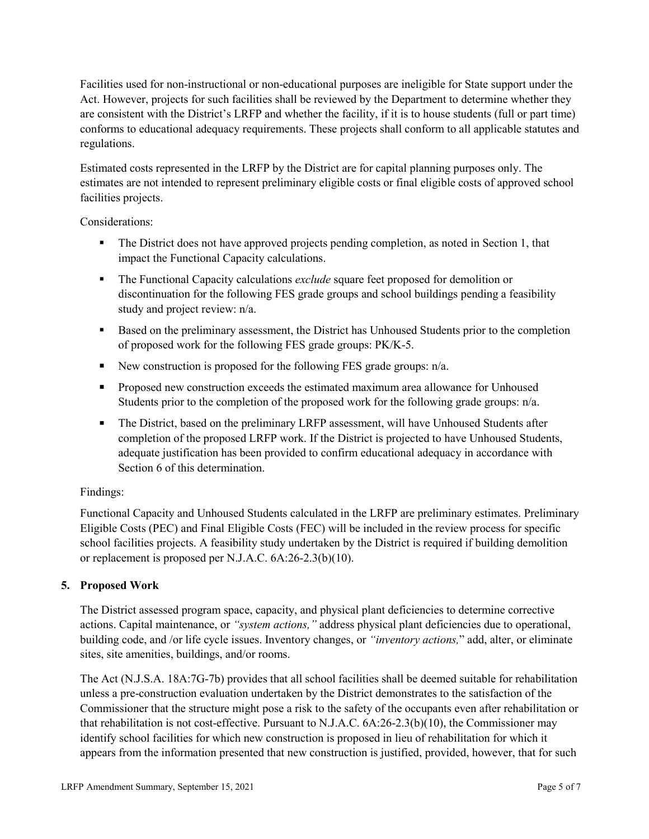Facilities used for non-instructional or non-educational purposes are ineligible for State support under the Act. However, projects for such facilities shall be reviewed by the Department to determine whether they are consistent with the District's LRFP and whether the facility, if it is to house students (full or part time) conforms to educational adequacy requirements. These projects shall conform to all applicable statutes and regulations.

Estimated costs represented in the LRFP by the District are for capital planning purposes only. The estimates are not intended to represent preliminary eligible costs or final eligible costs of approved school facilities projects.

Considerations:

- The District does not have approved projects pending completion, as noted in Section 1, that impact the Functional Capacity calculations.
- **The Functional Capacity calculations** *exclude* square feet proposed for demolition or discontinuation for the following FES grade groups and school buildings pending a feasibility study and project review: n/a.
- Based on the preliminary assessment, the District has Unhoused Students prior to the completion of proposed work for the following FES grade groups: PK/K-5.
- New construction is proposed for the following FES grade groups: n/a.
- Proposed new construction exceeds the estimated maximum area allowance for Unhoused Students prior to the completion of the proposed work for the following grade groups: n/a.
- The District, based on the preliminary LRFP assessment, will have Unhoused Students after completion of the proposed LRFP work. If the District is projected to have Unhoused Students, adequate justification has been provided to confirm educational adequacy in accordance with Section 6 of this determination.

## Findings:

Functional Capacity and Unhoused Students calculated in the LRFP are preliminary estimates. Preliminary Eligible Costs (PEC) and Final Eligible Costs (FEC) will be included in the review process for specific school facilities projects. A feasibility study undertaken by the District is required if building demolition or replacement is proposed per N.J.A.C. 6A:26-2.3(b)(10).

## **5. Proposed Work**

The District assessed program space, capacity, and physical plant deficiencies to determine corrective actions. Capital maintenance, or *"system actions,"* address physical plant deficiencies due to operational, building code, and /or life cycle issues. Inventory changes, or *"inventory actions,*" add, alter, or eliminate sites, site amenities, buildings, and/or rooms.

The Act (N.J.S.A. 18A:7G-7b) provides that all school facilities shall be deemed suitable for rehabilitation unless a pre-construction evaluation undertaken by the District demonstrates to the satisfaction of the Commissioner that the structure might pose a risk to the safety of the occupants even after rehabilitation or that rehabilitation is not cost-effective. Pursuant to N.J.A.C. 6A:26-2.3(b)(10), the Commissioner may identify school facilities for which new construction is proposed in lieu of rehabilitation for which it appears from the information presented that new construction is justified, provided, however, that for such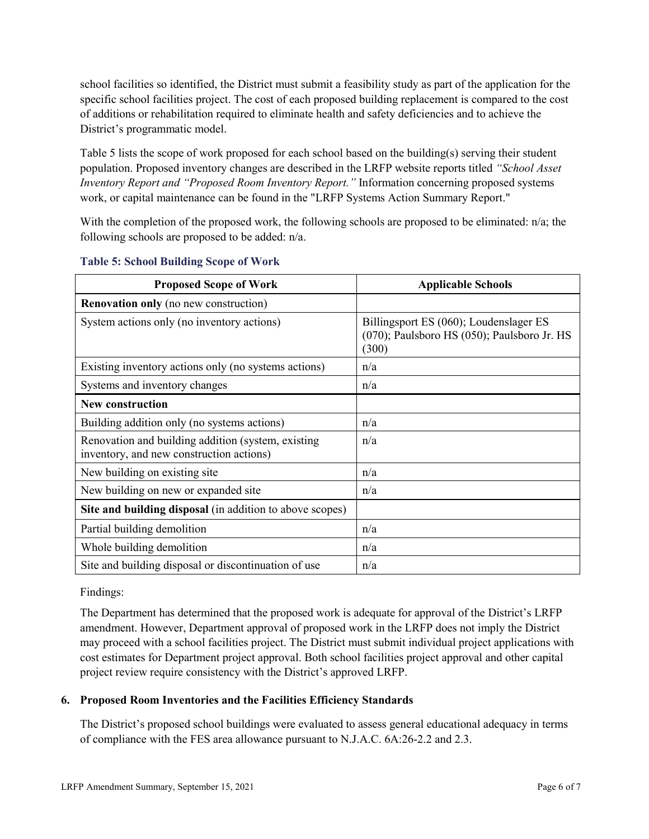school facilities so identified, the District must submit a feasibility study as part of the application for the specific school facilities project. The cost of each proposed building replacement is compared to the cost of additions or rehabilitation required to eliminate health and safety deficiencies and to achieve the District's programmatic model.

Table 5 lists the scope of work proposed for each school based on the building(s) serving their student population. Proposed inventory changes are described in the LRFP website reports titled *"School Asset Inventory Report and "Proposed Room Inventory Report."* Information concerning proposed systems work, or capital maintenance can be found in the "LRFP Systems Action Summary Report."

With the completion of the proposed work, the following schools are proposed to be eliminated: n/a; the following schools are proposed to be added: n/a.

| <b>Proposed Scope of Work</b>                                                                  | <b>Applicable Schools</b>                                                                      |
|------------------------------------------------------------------------------------------------|------------------------------------------------------------------------------------------------|
| <b>Renovation only</b> (no new construction)                                                   |                                                                                                |
| System actions only (no inventory actions)                                                     | Billingsport ES (060); Loudenslager ES<br>(070); Paulsboro HS (050); Paulsboro Jr. HS<br>(300) |
| Existing inventory actions only (no systems actions)                                           | n/a                                                                                            |
| Systems and inventory changes                                                                  | n/a                                                                                            |
| <b>New construction</b>                                                                        |                                                                                                |
| Building addition only (no systems actions)                                                    | n/a                                                                                            |
| Renovation and building addition (system, existing<br>inventory, and new construction actions) | n/a                                                                                            |
| New building on existing site                                                                  | n/a                                                                                            |
| New building on new or expanded site                                                           | n/a                                                                                            |
| Site and building disposal (in addition to above scopes)                                       |                                                                                                |
| Partial building demolition                                                                    | n/a                                                                                            |
| Whole building demolition                                                                      | n/a                                                                                            |
| Site and building disposal or discontinuation of use                                           | n/a                                                                                            |

#### **Table 5: School Building Scope of Work**

Findings:

The Department has determined that the proposed work is adequate for approval of the District's LRFP amendment. However, Department approval of proposed work in the LRFP does not imply the District may proceed with a school facilities project. The District must submit individual project applications with cost estimates for Department project approval. Both school facilities project approval and other capital project review require consistency with the District's approved LRFP.

## **6. Proposed Room Inventories and the Facilities Efficiency Standards**

The District's proposed school buildings were evaluated to assess general educational adequacy in terms of compliance with the FES area allowance pursuant to N.J.A.C. 6A:26-2.2 and 2.3.